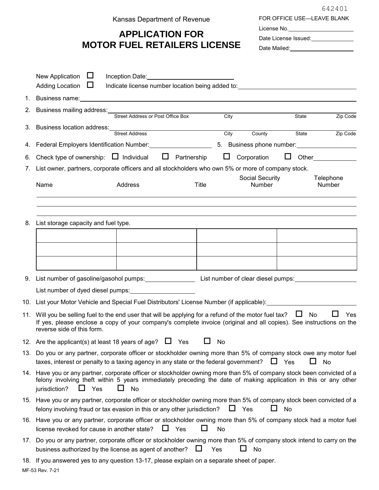Kansas Department of Revenue

## **APPLICATION FOR MOTOR FUEL RETAILERS LICENSE**

FOR OFFICE USE—LEAVE BLANK License No. Date License Issued:<br>
<u>Date License</u> Issued: 642401

|          | New Application<br>ப<br><b>Adding Location</b><br>$\Box$                                                                                                                                                                                                                       | Inception Date: New York Changes and Security Assembly<br>Indicate license number location being added to: example and the state of the state of the state of the state of the state of the state of the state of the state of the state of the state of the state of the state of the s |              |                           |        |                        |  |
|----------|--------------------------------------------------------------------------------------------------------------------------------------------------------------------------------------------------------------------------------------------------------------------------------|------------------------------------------------------------------------------------------------------------------------------------------------------------------------------------------------------------------------------------------------------------------------------------------|--------------|---------------------------|--------|------------------------|--|
|          |                                                                                                                                                                                                                                                                                |                                                                                                                                                                                                                                                                                          |              |                           |        |                        |  |
| 1.<br>2. | Business name: <u>contract and a series of the series of the series of the series of the series of the series of the series of the series of the series of the series of the series of the series of the series of the series of</u>                                           |                                                                                                                                                                                                                                                                                          |              |                           |        |                        |  |
|          | Business mailing address:                                                                                                                                                                                                                                                      | Street Address or Post Office Box                                                                                                                                                                                                                                                        | City         |                           | State  | Zip Code               |  |
| 3.       | Business location address:<br>Street Address                                                                                                                                                                                                                                   |                                                                                                                                                                                                                                                                                          | City         | County                    | State  | Zip Code               |  |
|          | 4. Federal Employers Identification Number: 1997 10: 30 Susiness phone number: 1997 10: 10: 10: 10: 10: 10: 10                                                                                                                                                                 |                                                                                                                                                                                                                                                                                          |              |                           |        |                        |  |
| 6.       | Check type of ownership: $\Box$ Individual $\Box$ Partnership                                                                                                                                                                                                                  |                                                                                                                                                                                                                                                                                          | $\Box$       | Corporation               | $\Box$ | <b>Other Community</b> |  |
| 7.       | List owner, partners, corporate officers and all stockholders who own 5% or more of company stock.                                                                                                                                                                             |                                                                                                                                                                                                                                                                                          |              |                           |        |                        |  |
|          | Name                                                                                                                                                                                                                                                                           | Address                                                                                                                                                                                                                                                                                  | <b>Title</b> | Social Security<br>Number |        | Telephone<br>Number    |  |
|          |                                                                                                                                                                                                                                                                                |                                                                                                                                                                                                                                                                                          |              |                           |        |                        |  |
|          | 8. List storage capacity and fuel type.                                                                                                                                                                                                                                        |                                                                                                                                                                                                                                                                                          |              |                           |        |                        |  |
|          |                                                                                                                                                                                                                                                                                |                                                                                                                                                                                                                                                                                          |              |                           |        |                        |  |
|          |                                                                                                                                                                                                                                                                                |                                                                                                                                                                                                                                                                                          |              |                           |        |                        |  |
|          |                                                                                                                                                                                                                                                                                |                                                                                                                                                                                                                                                                                          |              |                           |        |                        |  |
|          |                                                                                                                                                                                                                                                                                |                                                                                                                                                                                                                                                                                          |              |                           |        |                        |  |
|          | 9. List number of gasoline/gasohol pumps: List number of clear diesel pumps: List number of clear diesel pumps:                                                                                                                                                                |                                                                                                                                                                                                                                                                                          |              |                           |        |                        |  |
|          |                                                                                                                                                                                                                                                                                |                                                                                                                                                                                                                                                                                          |              |                           |        |                        |  |
|          | 10.   List your Motor Vehicle and Special Fuel Distributors' License Number (if applicable):__________________                                                                                                                                                                 |                                                                                                                                                                                                                                                                                          |              |                           |        |                        |  |
| 11.      | Will you be selling fuel to the end user that will be applying for a refund of the motor fuel tax? $\Box$<br>No<br>Yes<br>If yes, please enclose a copy of your company's complete invoice (original and all copies). See instructions on the<br>reverse side of this form.    |                                                                                                                                                                                                                                                                                          |              |                           |        |                        |  |
|          | 12. Are the applicant(s) at least 18 years of age? $\Box$ Yes                                                                                                                                                                                                                  |                                                                                                                                                                                                                                                                                          | No           |                           |        |                        |  |
|          | 13. Do you or any partner, corporate officer or stockholder owning more than 5% of company stock owe any motor fuel<br>taxes, interest or penalty to a taxing agency in any state or the federal government? $\Box$ Yes<br>No                                                  |                                                                                                                                                                                                                                                                                          |              |                           |        |                        |  |
|          | 14. Have you or any partner, corporate officer or stockholder owning more than 5% of company stock been convicted of a<br>felony involving theft within 5 years immediately preceding the date of making application in this or any other<br>jurisdiction?<br>Yes<br>No<br>I I |                                                                                                                                                                                                                                                                                          |              |                           |        |                        |  |
|          | 15. Have you or any partner, corporate officer or stockholder owning more than 5% of company stock been convicted of a<br>felony involving fraud or tax evasion in this or any other jurisdiction?                                                                             |                                                                                                                                                                                                                                                                                          |              | $\Box$ Yes<br>$\Box$      | No     |                        |  |
|          | 16. Have you or any partner, corporate officer or stockholder owning more than 5% of company stock had a motor fuel<br>license revoked for cause in another state?<br>$\Box$ Yes<br>ΙI<br>No                                                                                   |                                                                                                                                                                                                                                                                                          |              |                           |        |                        |  |
| 17.      | Do you or any partner, corporate officer or stockholder owning more than 5% of company stock intend to carry on the<br>ப<br>business authorized by the license as agent of another?<br>No<br>$\Box$<br>Yes                                                                     |                                                                                                                                                                                                                                                                                          |              |                           |        |                        |  |
|          | 18. If you answered yes to any question 13-17, please explain on a separate sheet of paper.                                                                                                                                                                                    |                                                                                                                                                                                                                                                                                          |              |                           |        |                        |  |
|          |                                                                                                                                                                                                                                                                                |                                                                                                                                                                                                                                                                                          |              |                           |        |                        |  |

MF-53 Rev. 7-21